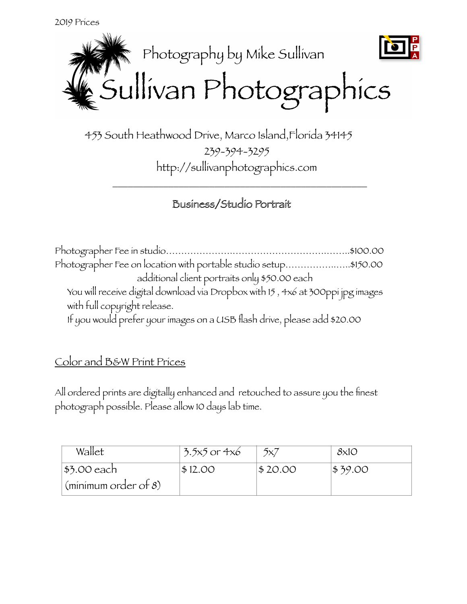

 453 South Heathwood Drive, Marco Island,Florida 34145 239-394-3295 http://sullivanphotographics.com

 $\overline{\phantom{a}}$  ,  $\overline{\phantom{a}}$  ,  $\overline{\phantom{a}}$  ,  $\overline{\phantom{a}}$  ,  $\overline{\phantom{a}}$  ,  $\overline{\phantom{a}}$  ,  $\overline{\phantom{a}}$  ,  $\overline{\phantom{a}}$  ,  $\overline{\phantom{a}}$  ,  $\overline{\phantom{a}}$  ,  $\overline{\phantom{a}}$  ,  $\overline{\phantom{a}}$  ,  $\overline{\phantom{a}}$  ,  $\overline{\phantom{a}}$  ,  $\overline{\phantom{a}}$  ,  $\overline{\phantom{a}}$ 

## Business/Studio Portrait

| Photographer Fee on location with portable studio setup\$150.00                 |  |
|---------------------------------------------------------------------------------|--|
| additional client portraits only \$50.00 each                                   |  |
| You will receive digital download via Dropbox with 15, 4x6 at 300ppi jpg images |  |
| with full copyright release.                                                    |  |
| If you would prefer your images on a USB flash drive, please add \$20.00        |  |

## Color and B&W Print Prices

All ordered prints are digitally enhanced and retouched to assure you the finest photograph possible. Please allow 10 days lab time.

| Wallet                             | $\frac{1}{2}$ .5x5 or 4x6 | 5x7     | 8x10    |
|------------------------------------|---------------------------|---------|---------|
| $ $ \$3.00 each                    | \$12.00                   | \$20.00 | \$39.00 |
| $\frac{1}{2}$ (minimum order of 8) |                           |         |         |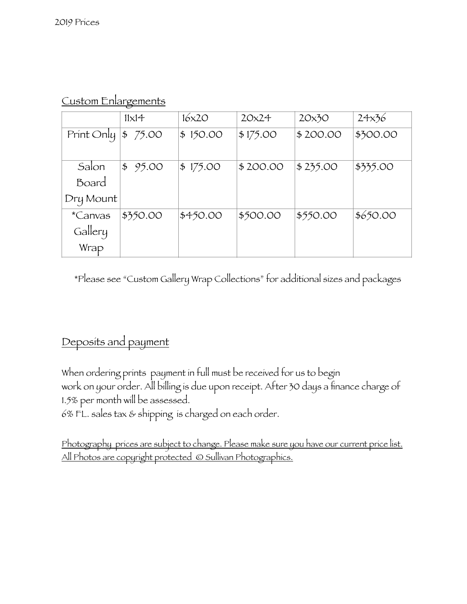|            | $11\times14$ | 16x20    | 20x24    | 20x30    | 24x36    |
|------------|--------------|----------|----------|----------|----------|
| Print Only | 75.00<br>\$  | \$150.00 | \$175.00 | \$200.00 | \$300.00 |
|            |              |          |          |          |          |
| Salon      | \$95.00      | \$175.00 | \$200.00 | \$235.00 | \$335.00 |
| Board      |              |          |          |          |          |
| Dry Mount  |              |          |          |          |          |
| *Canvas    | \$350.00     | \$450.00 | \$500.00 | \$550.00 | \$650.00 |
| Gallery    |              |          |          |          |          |
| Wrap       |              |          |          |          |          |

Custom Enlargements

\*Please see "Custom Gallery Wrap Collections" for additional sizes and packages

## Deposits and payment

When ordering prints payment in full must be received for us to begin work on your order. All billing is due upon receipt. After 30 days a finance charge of 1.5% per month will be assessed.

6% FL. sales tax & shipping is charged on each order.

Photography prices are subject to change. Please make sure you have our current price list. All Photos are copyright protected © Sullivan Photographics.